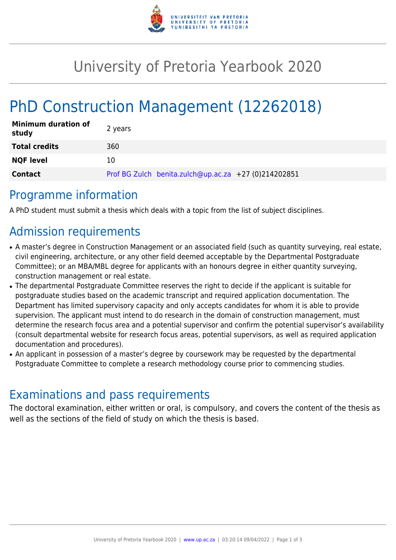

## University of Pretoria Yearbook 2020

# PhD Construction Management (12262018)

| <b>Minimum duration of</b><br>study | 2 years                                              |
|-------------------------------------|------------------------------------------------------|
| <b>Total credits</b>                | 360                                                  |
| <b>NQF level</b>                    | 10                                                   |
| <b>Contact</b>                      | Prof BG Zulch benita.zulch@up.ac.za +27 (0)214202851 |

#### Programme information

A PhD student must submit a thesis which deals with a topic from the list of subject disciplines.

## Admission requirements

- A master's degree in Construction Management or an associated field (such as quantity surveying, real estate, civil engineering, architecture, or any other field deemed acceptable by the Departmental Postgraduate Committee); or an MBA/MBL degree for applicants with an honours degree in either quantity surveying, construction management or real estate.
- The departmental Postgraduate Committee reserves the right to decide if the applicant is suitable for postgraduate studies based on the academic transcript and required application documentation. The Department has limited supervisory capacity and only accepts candidates for whom it is able to provide supervision. The applicant must intend to do research in the domain of construction management, must determine the research focus area and a potential supervisor and confirm the potential supervisor's availability (consult departmental website for research focus areas, potential supervisors, as well as required application documentation and procedures).
- An applicant in possession of a master's degree by coursework may be requested by the departmental Postgraduate Committee to complete a research methodology course prior to commencing studies.

#### Examinations and pass requirements

The doctoral examination, either written or oral, is compulsory, and covers the content of the thesis as well as the sections of the field of study on which the thesis is based.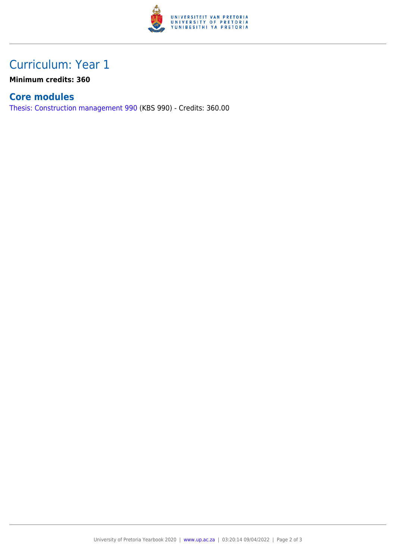

### Curriculum: Year 1

**Minimum credits: 360**

#### **Core modules**

[Thesis: Construction management 990](https://www.up.ac.za/faculty-of-education/yearbooks/2020/modules/view/KBS 990) (KBS 990) - Credits: 360.00